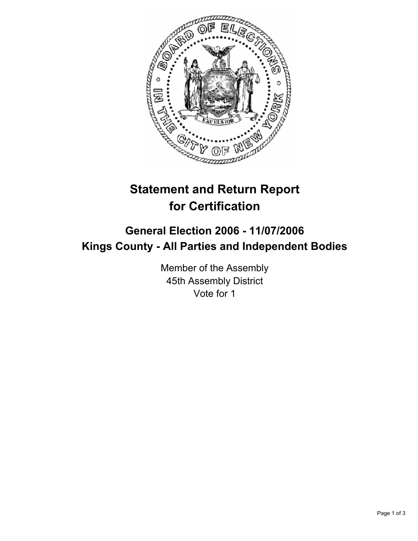

# **Statement and Return Report for Certification**

# **General Election 2006 - 11/07/2006 Kings County - All Parties and Independent Bodies**

Member of the Assembly 45th Assembly District Vote for 1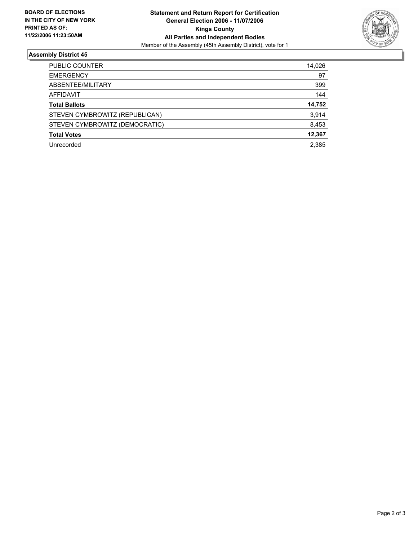

## **Assembly District 45**

| PUBLIC COUNTER                 | 14,026 |
|--------------------------------|--------|
| <b>EMERGENCY</b>               | 97     |
| ABSENTEE/MILITARY              | 399    |
| <b>AFFIDAVIT</b>               | 144    |
| <b>Total Ballots</b>           | 14,752 |
| STEVEN CYMBROWITZ (REPUBLICAN) | 3,914  |
| STEVEN CYMBROWITZ (DEMOCRATIC) | 8,453  |
| <b>Total Votes</b>             | 12,367 |
| Unrecorded                     | 2,385  |
|                                |        |